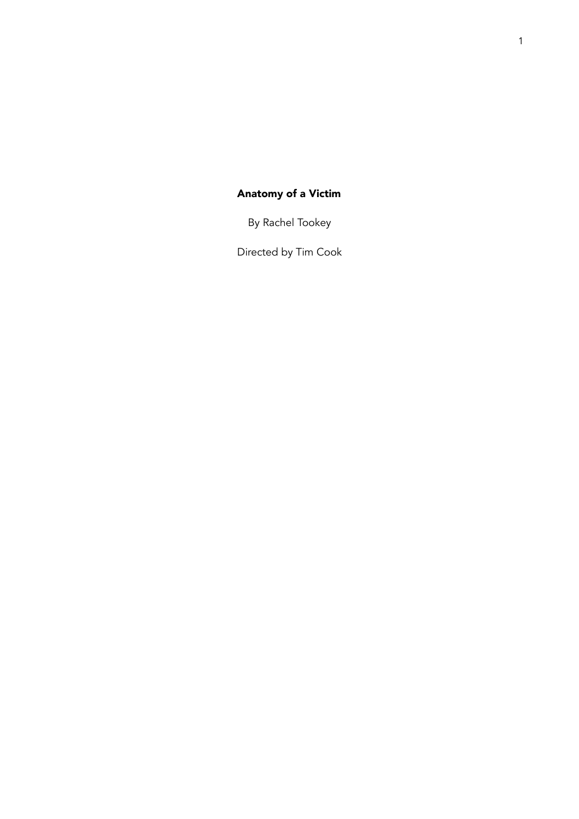# Anatomy of a Victim

By Rachel Tookey

Directed by Tim Cook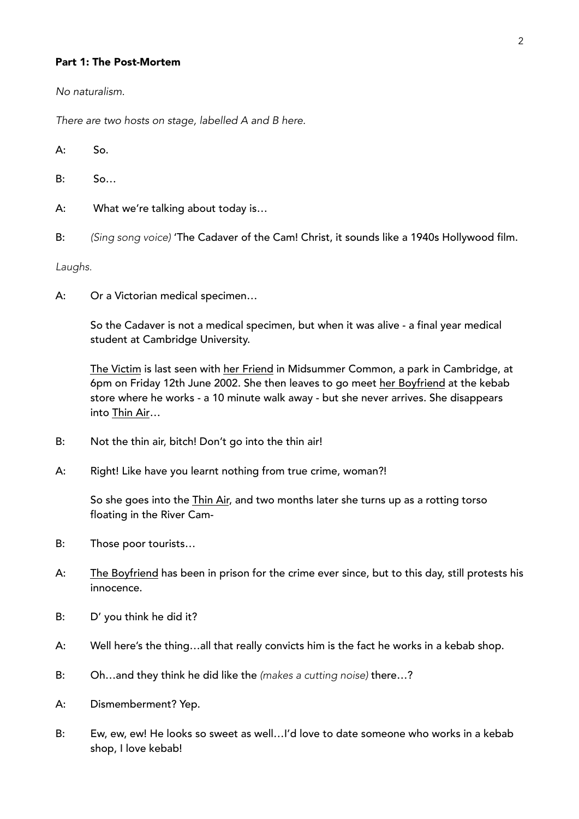#### Part 1: The Post-Mortem

*No naturalism.* 

*There are two hosts on stage, labelled A and B here.* 

A: So.

B: So…

- A: What we're talking about today is…
- B: *(Sing song voice)* 'The Cadaver of the Cam! Christ, it sounds like a 1940s Hollywood film.

*Laughs.* 

A: Or a Victorian medical specimen…

So the Cadaver is not a medical specimen, but when it was alive - a final year medical student at Cambridge University.

The Victim is last seen with her Friend in Midsummer Common, a park in Cambridge, at 6pm on Friday 12th June 2002. She then leaves to go meet her Boyfriend at the kebab store where he works - a 10 minute walk away - but she never arrives. She disappears into Thin Air…

- B: Not the thin air, bitch! Don't go into the thin air!
- A: Right! Like have you learnt nothing from true crime, woman?!

So she goes into the Thin Air, and two months later she turns up as a rotting torso floating in the River Cam-

- B: Those poor tourists…
- A: The Boyfriend has been in prison for the crime ever since, but to this day, still protests his innocence.
- B: D' you think he did it?
- A: Well here's the thing…all that really convicts him is the fact he works in a kebab shop.
- B: Oh…and they think he did like the *(makes a cutting noise)* there…?
- A: Dismemberment? Yep.
- B: Ew, ew, ew! He looks so sweet as well…I'd love to date someone who works in a kebab shop, I love kebab!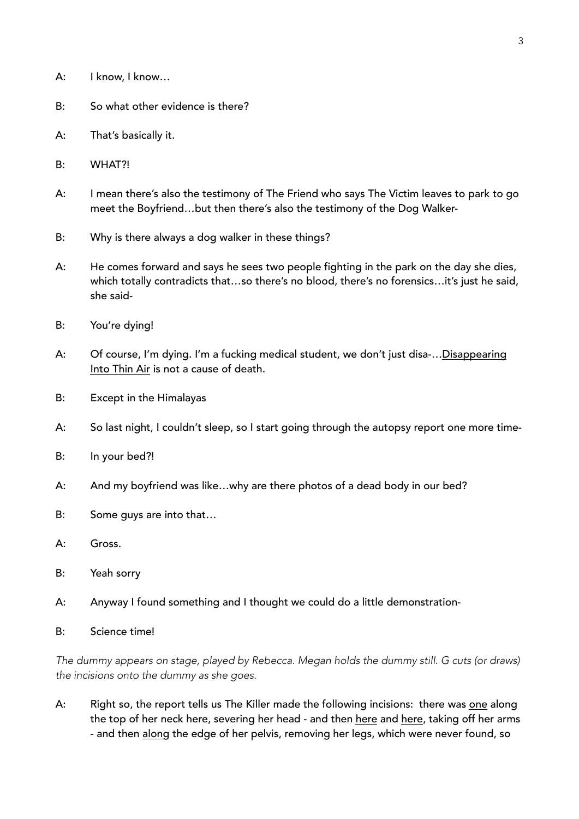- A: I know, I know…
- B: So what other evidence is there?
- A: That's basically it.
- B: WHAT?!
- A: I mean there's also the testimony of The Friend who says The Victim leaves to park to go meet the Boyfriend…but then there's also the testimony of the Dog Walker-
- B: Why is there always a dog walker in these things?
- A: He comes forward and says he sees two people fighting in the park on the day she dies, which totally contradicts that…so there's no blood, there's no forensics…it's just he said, she said-
- B: You're dying!
- A: Of course, I'm dying. I'm a fucking medical student, we don't just disa-…Disappearing Into Thin Air is not a cause of death.
- B: Except in the Himalayas
- A: So last night, I couldn't sleep, so I start going through the autopsy report one more time-
- B: In your bed?!
- A: And my boyfriend was like…why are there photos of a dead body in our bed?
- B: Some guys are into that…
- A: Gross.
- B: Yeah sorry
- A: Anyway I found something and I thought we could do a little demonstration-
- B: Science time!

*The dummy appears on stage, played by Rebecca. Megan holds the dummy still. G cuts (or draws) the incisions onto the dummy as she goes.* 

A: Right so, the report tells us The Killer made the following incisions: there was one along the top of her neck here, severing her head - and then here and here, taking off her arms - and then along the edge of her pelvis, removing her legs, which were never found, so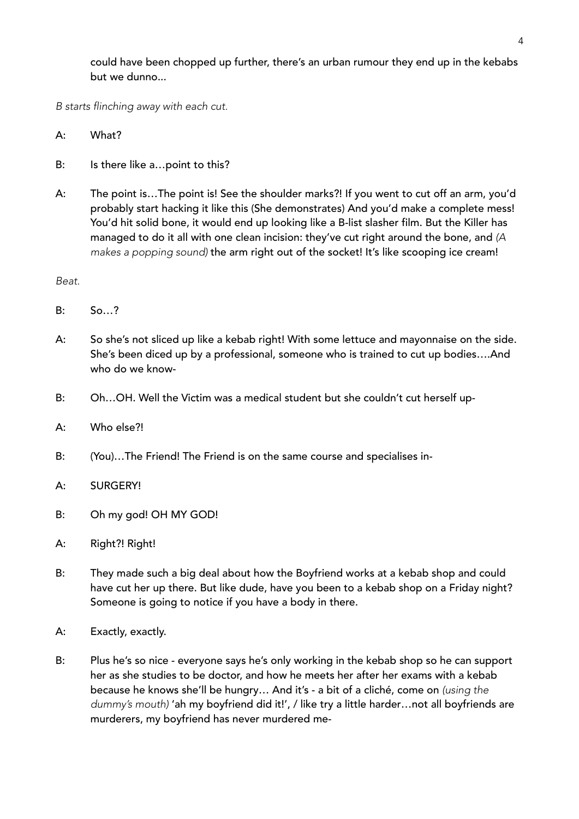could have been chopped up further, there's an urban rumour they end up in the kebabs but we dunno...

*B starts flinching away with each cut.* 

- A: What?
- B: Is there like a…point to this?
- A: The point is...The point is! See the shoulder marks?! If you went to cut off an arm, you'd probably start hacking it like this (She demonstrates) And you'd make a complete mess! You'd hit solid bone, it would end up looking like a B-list slasher film. But the Killer has managed to do it all with one clean incision: they've cut right around the bone, and *(A makes a popping sound)* the arm right out of the socket! It's like scooping ice cream!

*Beat.* 

- B: So…?
- A: So she's not sliced up like a kebab right! With some lettuce and mayonnaise on the side. She's been diced up by a professional, someone who is trained to cut up bodies….And who do we know-
- B: Oh…OH. Well the Victim was a medical student but she couldn't cut herself up-
- A: Who else?!
- B: (You)…The Friend! The Friend is on the same course and specialises in-
- A: SURGERY!
- B: Oh my god! OH MY GOD!
- A: Right?! Right!
- B: They made such a big deal about how the Boyfriend works at a kebab shop and could have cut her up there. But like dude, have you been to a kebab shop on a Friday night? Someone is going to notice if you have a body in there.
- A: Exactly, exactly.
- B: Plus he's so nice everyone says he's only working in the kebab shop so he can support her as she studies to be doctor, and how he meets her after her exams with a kebab because he knows she'll be hungry… And it's - a bit of a cliché, come on *(using the dummy's mouth)* 'ah my boyfriend did it!', / like try a little harder…not all boyfriends are murderers, my boyfriend has never murdered me-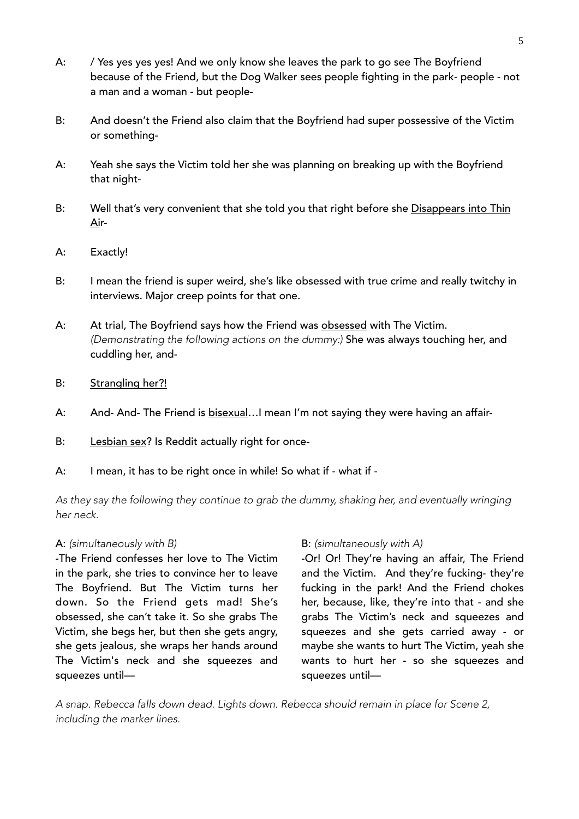- A: / Yes yes yes yes! And we only know she leaves the park to go see The Boyfriend because of the Friend, but the Dog Walker sees people fighting in the park- people - not a man and a woman - but people-
- B: And doesn't the Friend also claim that the Boyfriend had super possessive of the Victim or something-
- A: Yeah she says the Victim told her she was planning on breaking up with the Boyfriend that night-
- B: Well that's very convenient that she told you that right before she Disappears into Thin Air-
- A: Exactly!
- B: I mean the friend is super weird, she's like obsessed with true crime and really twitchy in interviews. Major creep points for that one.
- A: At trial, The Boyfriend says how the Friend was obsessed with The Victim. *(Demonstrating the following actions on the dummy:)* She was always touching her, and cuddling her, and-
- B: Strangling her?!
- A: And- And- The Friend is bisexual…I mean I'm not saying they were having an affair-
- B: Lesbian sex? Is Reddit actually right for once-
- A: I mean, it has to be right once in while! So what if what if -

*As they say the following they continue to grab the dummy, shaking her, and eventually wringing her neck.* 

# A: *(simultaneously with B)*

-The Friend confesses her love to The Victim in the park, she tries to convince her to leave The Boyfriend. But The Victim turns her down. So the Friend gets mad! She's obsessed, she can't take it. So she grabs The Victim, she begs her, but then she gets angry, she gets jealous, she wraps her hands around The Victim's neck and she squeezes and squeezes until—

# B: *(simultaneously with A)*

-Or! Or! They're having an affair, The Friend and the Victim. And they're fucking- they're fucking in the park! And the Friend chokes her, because, like, they're into that - and she grabs The Victim's neck and squeezes and squeezes and she gets carried away - or maybe she wants to hurt The Victim, yeah she wants to hurt her - so she squeezes and squeezes until—

*A snap. Rebecca falls down dead. Lights down. Rebecca should remain in place for Scene 2, including the marker lines.*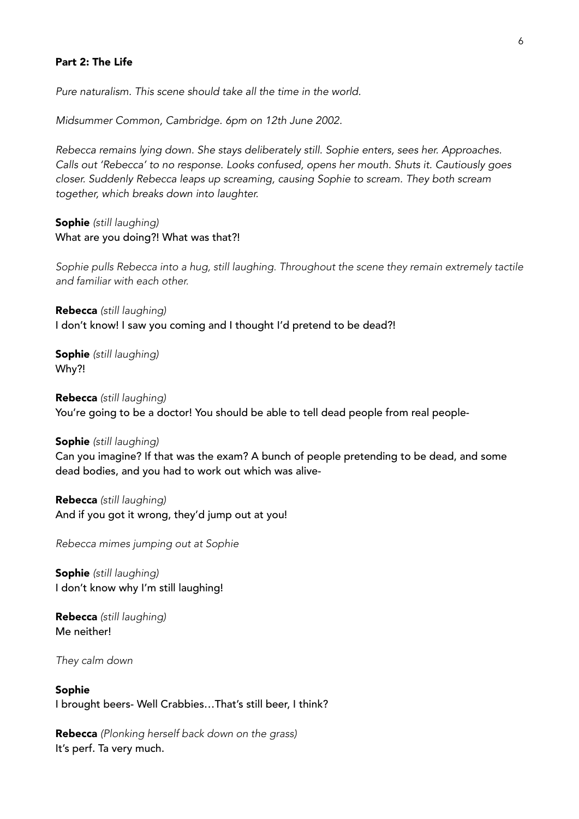#### Part 2: The Life

*Pure naturalism. This scene should take all the time in the world.* 

*Midsummer Common, Cambridge. 6pm on 12th June 2002.* 

*Rebecca remains lying down. She stays deliberately still. Sophie enters, sees her. Approaches. Calls out 'Rebecca' to no response. Looks confused, opens her mouth. Shuts it. Cautiously goes closer. Suddenly Rebecca leaps up screaming, causing Sophie to scream. They both scream together, which breaks down into laughter.* 

Sophie *(still laughing)*  What are you doing?! What was that?!

Sophie pulls Rebecca into a hug, still laughing. Throughout the scene they remain extremely tactile *and familiar with each other.* 

Rebecca *(still laughing)*  I don't know! I saw you coming and I thought I'd pretend to be dead?!

Sophie *(still laughing)* Why?!

Rebecca *(still laughing)* You're going to be a doctor! You should be able to tell dead people from real people-

#### Sophie *(still laughing)*

Can you imagine? If that was the exam? A bunch of people pretending to be dead, and some dead bodies, and you had to work out which was alive-

Rebecca *(still laughing)* And if you got it wrong, they'd jump out at you!

*Rebecca mimes jumping out at Sophie* 

Sophie *(still laughing)* I don't know why I'm still laughing!

Rebecca *(still laughing)* Me neither!

*They calm down* 

Sophie I brought beers- Well Crabbies…That's still beer, I think?

Rebecca *(Plonking herself back down on the grass)*  It's perf. Ta very much.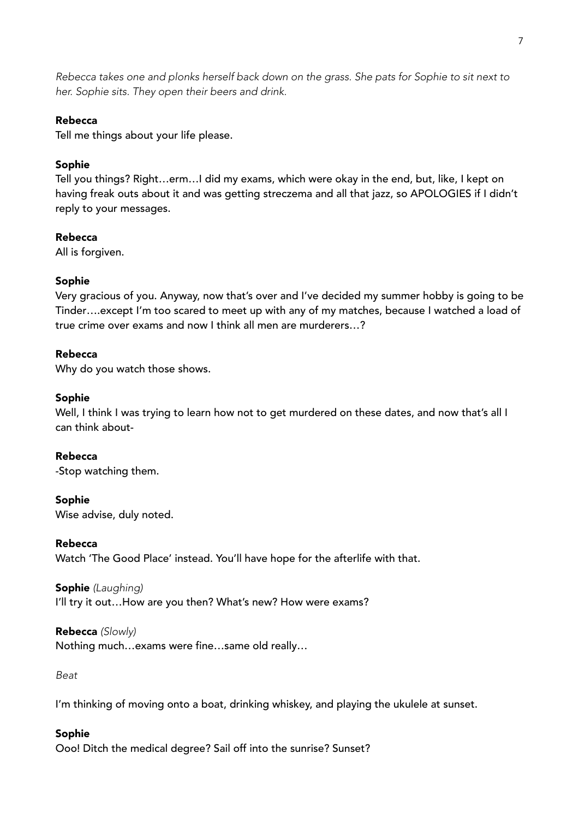*Rebecca takes one and plonks herself back down on the grass. She pats for Sophie to sit next to her. Sophie sits. They open their beers and drink.* 

# Rebecca

Tell me things about your life please.

# Sophie

Tell you things? Right…erm…I did my exams, which were okay in the end, but, like, I kept on having freak outs about it and was getting streczema and all that jazz, so APOLOGIES if I didn't reply to your messages.

# Rebecca

All is forgiven.

# Sophie

Very gracious of you. Anyway, now that's over and I've decided my summer hobby is going to be Tinder….except I'm too scared to meet up with any of my matches, because I watched a load of true crime over exams and now I think all men are murderers…?

# Rebecca

Why do you watch those shows.

# Sophie

Well, I think I was trying to learn how not to get murdered on these dates, and now that's all I can think about-

Rebecca -Stop watching them.

# Sophie

Wise advise, duly noted.

# Rebecca

Watch 'The Good Place' instead. You'll have hope for the afterlife with that.

# Sophie *(Laughing)*

I'll try it out...How are you then? What's new? How were exams?

# Rebecca *(Slowly)*

Nothing much…exams were fine…same old really…

*Beat* 

I'm thinking of moving onto a boat, drinking whiskey, and playing the ukulele at sunset.

# Sophie

Ooo! Ditch the medical degree? Sail off into the sunrise? Sunset?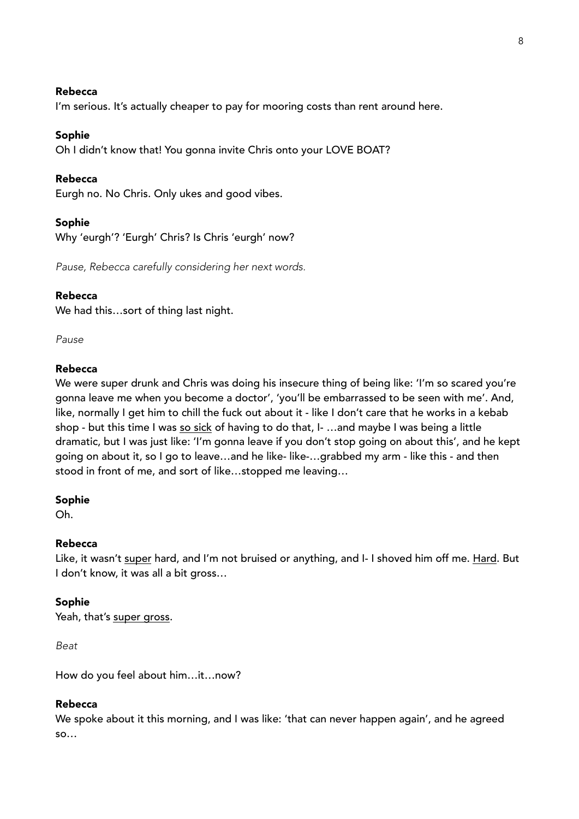### Rebecca

I'm serious. It's actually cheaper to pay for mooring costs than rent around here.

### Sophie

Oh I didn't know that! You gonna invite Chris onto your LOVE BOAT?

### Rebecca

Eurgh no. No Chris. Only ukes and good vibes.

### Sophie

Why 'eurgh'? 'Eurgh' Chris? Is Chris 'eurgh' now?

*Pause, Rebecca carefully considering her next words.* 

# Rebecca

We had this…sort of thing last night.

*Pause*

# Rebecca

We were super drunk and Chris was doing his insecure thing of being like: 'I'm so scared you're gonna leave me when you become a doctor', 'you'll be embarrassed to be seen with me'. And, like, normally I get him to chill the fuck out about it - like I don't care that he works in a kebab shop - but this time I was so sick of having to do that, I- ... and maybe I was being a little dramatic, but I was just like: 'I'm gonna leave if you don't stop going on about this', and he kept going on about it, so I go to leave…and he like- like-…grabbed my arm - like this - and then stood in front of me, and sort of like…stopped me leaving…

#### Sophie

Oh.

#### Rebecca

Like, it wasn't super hard, and I'm not bruised or anything, and I- I shoved him off me. Hard. But I don't know, it was all a bit gross…

# Sophie

Yeah, that's super gross.

*Beat* 

How do you feel about him…it…now?

### Rebecca

We spoke about it this morning, and I was like: 'that can never happen again', and he agreed so…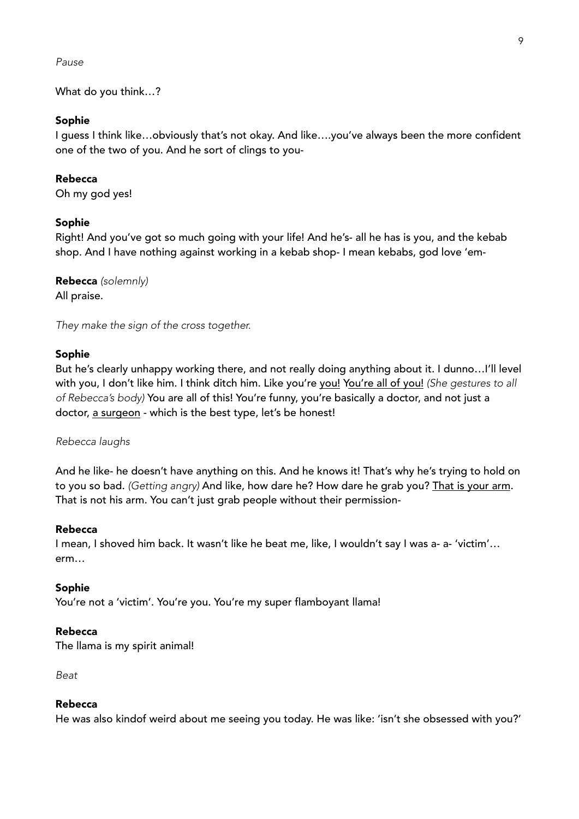#### *Pause*

What do you think…?

#### Sophie

I guess I think like…obviously that's not okay. And like….you've always been the more confident one of the two of you. And he sort of clings to you-

### Rebecca

Oh my god yes!

#### Sophie

Right! And you've got so much going with your life! And he's- all he has is you, and the kebab shop. And I have nothing against working in a kebab shop- I mean kebabs, god love 'em-

Rebecca *(solemnly)*  All praise.

*They make the sign of the cross together.* 

#### Sophie

But he's clearly unhappy working there, and not really doing anything about it. I dunno…I'll level with you, I don't like him. I think ditch him. Like you're you! You're all of you! *(She gestures to all of Rebecca's body)* You are all of this! You're funny, you're basically a doctor, and not just a doctor, a surgeon - which is the best type, let's be honest!

#### *Rebecca laughs*

And he like- he doesn't have anything on this. And he knows it! That's why he's trying to hold on to you so bad. *(Getting angry)* And like, how dare he? How dare he grab you? That is your arm. That is not his arm. You can't just grab people without their permission-

### Rebecca

I mean, I shoved him back. It wasn't like he beat me, like, I wouldn't say I was a- a- 'victim'… erm…

#### Sophie

You're not a 'victim'. You're you. You're my super flamboyant llama!

#### Rebecca

The llama is my spirit animal!

*Beat* 

#### Rebecca

He was also kindof weird about me seeing you today. He was like: 'isn't she obsessed with you?'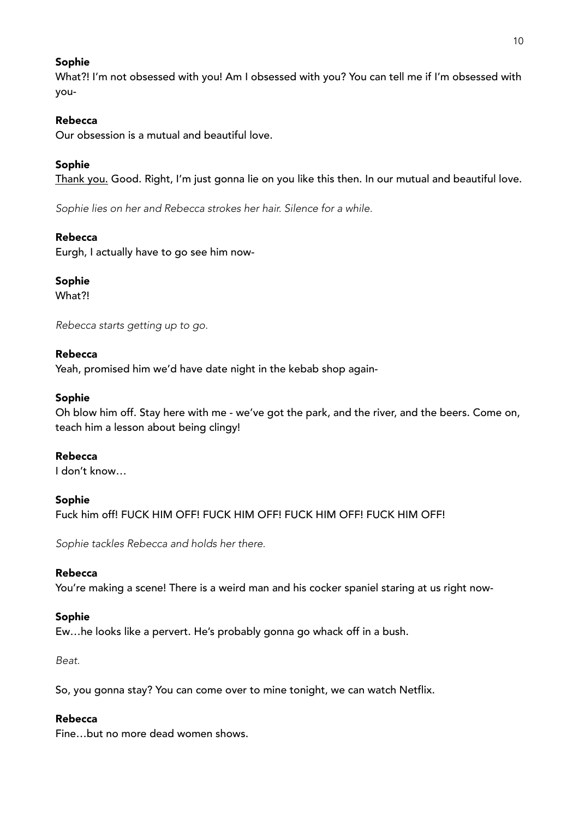# Sophie

What?! I'm not obsessed with you! Am I obsessed with you? You can tell me if I'm obsessed with you-

# Rebecca

Our obsession is a mutual and beautiful love.

# Sophie

Thank you. Good. Right, I'm just gonna lie on you like this then. In our mutual and beautiful love.

*Sophie lies on her and Rebecca strokes her hair. Silence for a while.* 

# Rebecca

Eurgh, I actually have to go see him now-

# Sophie

What?!

*Rebecca starts getting up to go.* 

# Rebecca

Yeah, promised him we'd have date night in the kebab shop again-

# Sophie

Oh blow him off. Stay here with me - we've got the park, and the river, and the beers. Come on, teach him a lesson about being clingy!

# Rebecca

I don't know…

# Sophie

Fuck him off! FUCK HIM OFF! FUCK HIM OFF! FUCK HIM OFF! FUCK HIM OFF!

*Sophie tackles Rebecca and holds her there.* 

# Rebecca

You're making a scene! There is a weird man and his cocker spaniel staring at us right now-

# Sophie

Ew…he looks like a pervert. He's probably gonna go whack off in a bush.

*Beat.* 

So, you gonna stay? You can come over to mine tonight, we can watch Netflix.

# Rebecca

Fine…but no more dead women shows.